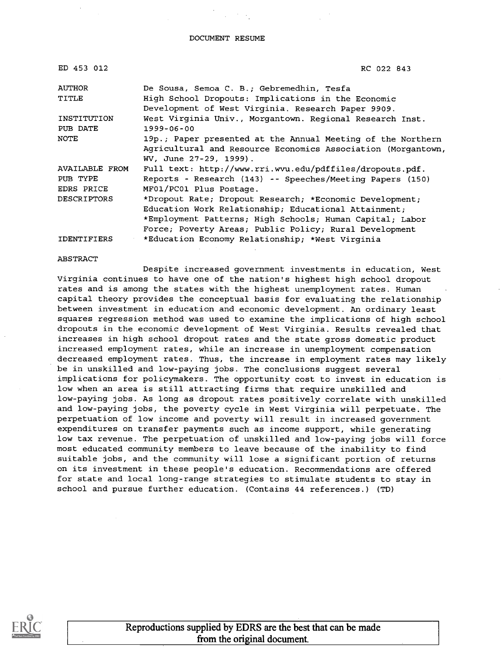DOCUMENT RESUME

| ED 453 012     | RC 022 843                                                   |
|----------------|--------------------------------------------------------------|
| AUTHOR         | De Sousa, Semoa C. B.; Gebremedhin, Tesfa                    |
| TITLE          | High School Dropouts: Implications in the Economic           |
|                | Development of West Virginia. Research Paper 9909.           |
| INSTITUTION    | West Virginia Univ., Morgantown. Regional Research Inst.     |
| PUB DATE       | 1999-06-00                                                   |
| NOTE           | 19p.; Paper presented at the Annual Meeting of the Northern  |
|                | Agricultural and Resource Economics Association (Morgantown, |
|                | WV, June 27-29, 1999).                                       |
| AVAILABLE FROM | Full text: http://www.rri.wvu.edu/pdffiles/dropouts.pdf.     |
| PUB TYPE       | Reports - Research (143) -- Speeches/Meeting Papers (150)    |
| EDRS PRICE     | MF01/PC01 Plus Postage.                                      |
| DESCRIPTORS    | *Dropout Rate; Dropout Research; *Economic Development;      |
|                | Education Work Relationship; Educational Attainment;         |
|                | *Employment Patterns; High Schools; Human Capital; Labor     |
|                | Force; Poverty Areas; Public Policy; Rural Development       |
| IDENTIFIERS    | *Education Economy Relationship; *West Virginia              |

#### ABSTRACT

Despite increased government investments in education, West Virginia continues to have one of the nation's highest high school dropout rates and is among the states with the highest unemployment rates. Human capital theory provides the conceptual basis for evaluating the relationship between investment in education and economic development. An ordinary least squares regression method was used to examine the implications of high school dropouts in the economic development of West Virginia. Results revealed that increases in high school dropout rates and the state gross domestic product increased employment rates, while an increase in unemployment compensation decreased employment rates. Thus, the increase in employment rates may likely be in unskilled and low-paying jobs. The conclusions suggest several implications for policymakers. The opportunity cost to invest in education is low when an area is still attracting firms that require unskilled and low-paying jobs. As long as dropout rates positively correlate with unskilled and low-paying jobs, the poverty cycle in West Virginia will perpetuate. The perpetuation of low income and poverty will result in increased government expenditures on transfer payments such as income support, while generating low tax revenue. The perpetuation of unskilled and low-paying jobs will force most educated community members to leave because of the inability to find suitable jobs, and the community will lose a significant portion of returns on its investment in these people's education. Recommendations are offered for state and local long-range strategies to stimulate students to stay in school and pursue further education. (Contains 44 references.) (TD)



Reproductions supplied by EDRS are the best that can be made from the original document.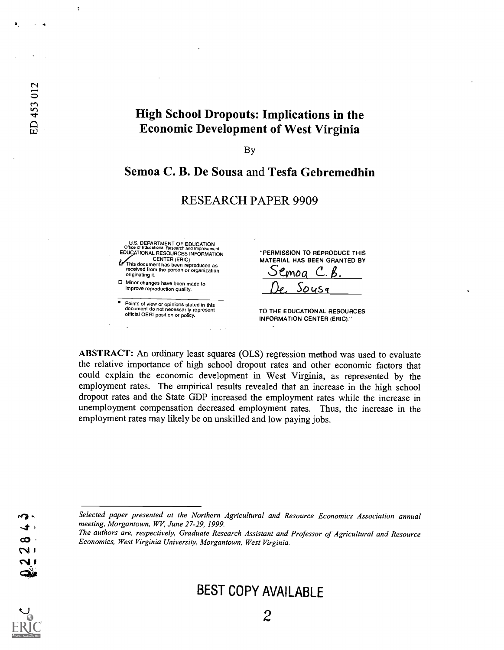# High School Dropouts: Implications in the Economic Development of West Virginia

By

## Semoa C. B. De Sousa and Tesfa Gebremedhin

RESEARCH PAPER 9909

#### U.S. DEPARTMENT OF EDUCATION Office of Educational Research and Improvement EDUCATIONAL RESOURCES INFORMATION CENTER (ERIC) This document has been reproduced as received from the person or organization originating it. Minor changes have been made to improve reproduction quality. Points of view or opinions stated in this document do not necessarily represent official OERI position or policy. "PERMISSION TO REPRODUCE THIS MATERIAL HAS BEEN GRANTED BY <u>Semoa C.B</u><br>De Sousa TO THE EDUCATIONAL RESOURCES

INFORMATION CENTER (ERIC)."

ABSTRACT: An ordinary least squares (OLS) regression method was used to evaluate the relative importance of high school dropout rates and other economic factors that could explain the economic development in West Virginia, as represented by the employment rates. The empirical results revealed that an increase in the high school dropout rates and the State GDP increased the employment rates while the increase in unemployment compensation decreased employment rates. Thus, the increase in the employment rates may likely be on unskilled and low paying jobs.

Selected paper presented at the Northern Agricultural and Resource Economics Association annual meeting, Morgantown, WV, June 27-29, 1999.

The authors are, respectively, Graduate Research Assistant and Professor of Agricultural and Resource Economics, West Virginia University, Morgantown, West Virginia.

# BEST COPY AVAILABLE

۵è

þ

ED 453 012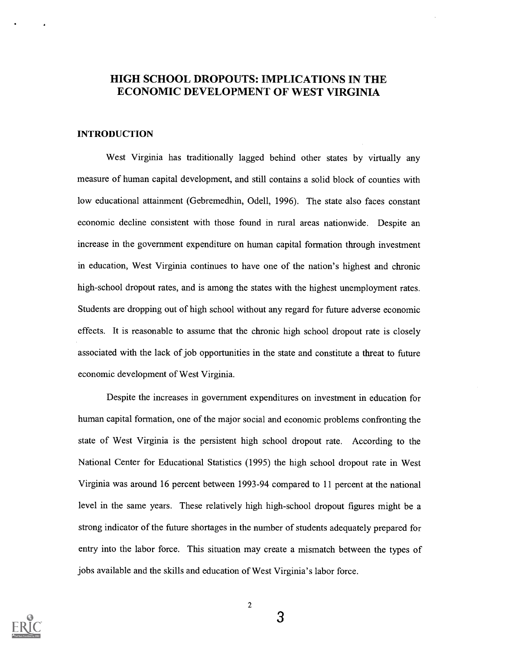## HIGH SCHOOL DROPOUTS: IMPLICATIONS IN THE ECONOMIC DEVELOPMENT OF WEST VIRGINIA

## INTRODUCTION

West Virginia has traditionally lagged behind other states by virtually any measure of human capital development, and still contains a solid block of counties with low educational attainment (Gebremedhin, Odell, 1996). The state also faces constant economic decline consistent with those found in rural areas nationwide. Despite an increase in the government expenditure on human capital formation through investment in education, West Virginia continues to have one of the nation's highest and chronic high-school dropout rates, and is among the states with the highest unemployment rates. Students are dropping out of high school without any regard for future adverse economic effects. It is reasonable to assume that the chronic high school dropout rate is closely associated with the lack of job opportunities in the state and constitute a threat to future economic development of West Virginia.

Despite the increases in government expenditures on investment in education for human capital formation, one of the major social and economic problems confronting the state of West Virginia is the persistent high school dropout rate. According to the National Center for Educational Statistics (1995) the high school dropout rate in West Virginia was around 16 percent between 1993-94 compared to 11 percent at the national level in the same years. These relatively high high-school dropout figures might be a strong indicator of the future shortages in the number of students adequately prepared for entry into the labor force. This situation may create a mismatch between the types of jobs available and the skills and education of West Virginia's labor force.



2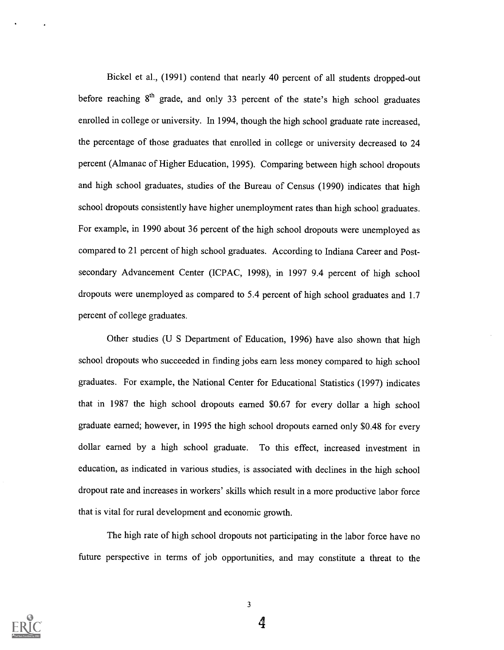Bickel et al., (1991) contend that nearly 40 percent of all students dropped-out before reaching  $8<sup>th</sup>$  grade, and only 33 percent of the state's high school graduates enrolled in college or university. In 1994, though the high school graduate rate increased, the percentage of those graduates that enrolled in college or university decreased to 24 percent (Almanac of Higher Education, 1995). Comparing between high school dropouts and high school graduates, studies of the Bureau of Census (1990) indicates that high school dropouts consistently have higher unemployment rates than high school graduates. For example, in 1990 about 36 percent of the high school dropouts were unemployed as compared to 21 percent of high school graduates. According to Indiana Career and Postsecondary Advancement Center (ICPAC, 1998), in 1997 9.4 percent of high school dropouts were unemployed as compared to 5.4 percent of high school graduates and 1.7 percent of college graduates.

Other studies (U S Department of Education, 1996) have also shown that high school dropouts who succeeded in finding jobs earn less money compared to high school graduates. For example, the National Center for Educational Statistics (1997) indicates that in 1987 the high school dropouts earned \$0.67 for every dollar a high school graduate earned; however, in 1995 the high school dropouts earned only \$0.48 for every dollar earned by a high school graduate. To this effect, increased investment in education, as indicated in various studies, is associated with declines in the high school dropout rate and increases in workers' skills which result in a more productive labor force that is vital for rural development and economic growth.

The high rate of high school dropouts not participating in the labor force have no future perspective in terms of job opportunities, and may constitute a threat to the

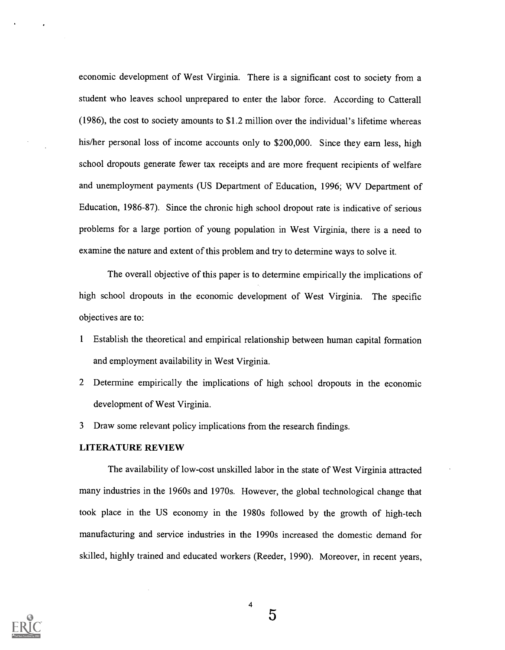economic development of West Virginia. There is a significant cost to society from a student who leaves school unprepared to enter the labor force. According to Catterall (1986), the cost to society amounts to \$1.2 million over the individual's lifetime whereas his/her personal loss of income accounts only to \$200,000. Since they earn less, high school dropouts generate fewer tax receipts and are more frequent recipients of welfare and unemployment payments (US Department of Education, 1996; WV Department of Education, 1986-87). Since the chronic high school dropout rate is indicative of serious problems for a large portion of young population in West Virginia, there is a need to examine the nature and extent of this problem and try to determine ways to solve it.

The overall objective of this paper is to determine empirically the implications of high school dropouts in the economic development of West Virginia. The specific objectives are to:

- <sup>1</sup> Establish the theoretical and empirical relationship between human capital formation and employment availability in West Virginia.
- 2 Determine empirically the implications of high school dropouts in the economic development of West Virginia.
- 3 Draw some relevant policy implications from the research findings.

#### LITERATURE REVIEW

The availability of low-cost unskilled labor in the state of West Virginia attracted many industries in the 1960s and 1970s. However, the global technological change that took place in the US economy in the 1980s followed by the growth of high-tech manufacturing and service industries in the 1990s increased the domestic demand for skilled, highly trained and educated workers (Reeder, 1990). Moreover, in recent years,

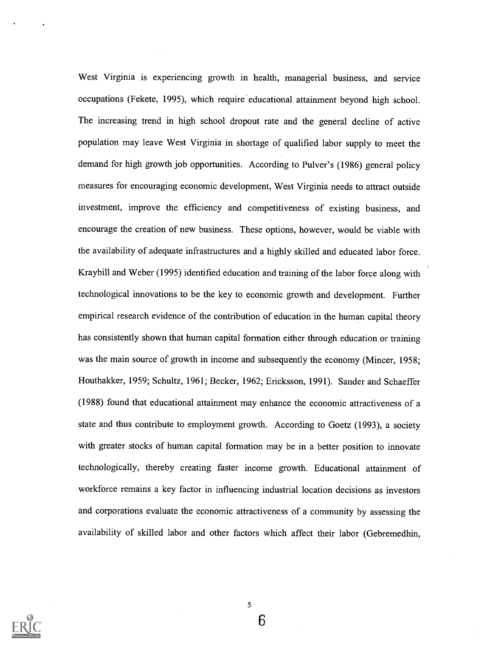West Virginia is experiencing growth in health, managerial business, and service occupations (Fekete, 1995), which require 'educational attainment beyond high school. The increasing trend in high school dropout rate and the general decline of active population may leave West Virginia in shortage of qualified labor supply to meet the demand for high growth job opportunities. According to Pulver's (1986) general policy measures for encouraging economic development, West Virginia needs to attract outside investment, improve the efficiency and competitiveness of existing business, and encourage the creation of new business. These options, however, would be viable with the availability of adequate infrastructures and a highly skilled and educated labor force. Kraybill and Weber (1995) identified education and training of the labor force along with technological innovations to be the key to economic growth and development. Further empirical research evidence of the contribution of education in the human capital theory has consistently shown that human capital formation either through education or training was the main source of growth in income and subsequently the economy (Mincer, 1958; Houthakker, 1959; Schultz, 1961; Becker, 1962; Ericksson, 1991). Sander and Schaeffer (1988) found that educational attainment may enhance the economic attractiveness of a state and thus contribute to employment growth. According to Goetz (1993), a society with greater stocks of human capital formation may be in a better position to innovate technologically, thereby creating faster income growth. Educational attainment of workforce remains a key factor in influencing industrial location decisions as investors and corporations evaluate the economic attractiveness of a community by assessing the availability of skilled labor and other factors which affect their labor (Gebremedhin,

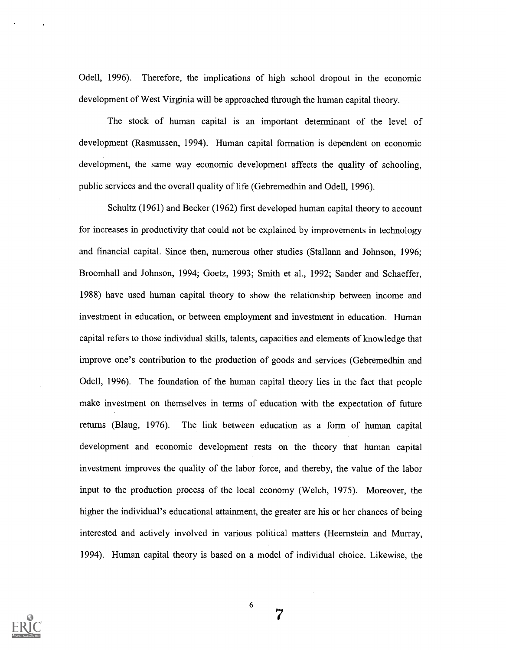Odell, 1996). Therefore, the implications of high school dropout in the economic development of West Virginia will be approached through the human capital theory.

The stock of human capital is an important determinant of the level of development (Rasmussen, 1994). Human capital formation is dependent on economic development, the same way economic development affects the quality of schooling, public services and the overall quality of life (Gebremedhin and Odell, 1996).

Schultz (1961) and Becker (1962) first developed human capital theory to account for increases in productivity that could not be explained by improvements in technology and financial capital. Since then, numerous other studies (Stallann and Johnson, 1996; Broomhall and Johnson, 1994; Goetz, 1993; Smith et al., 1992; Sander and Schaeffer, 1988) have used human capital theory to show the relationship between income and investment in education, or between employment and investment in education. Human capital refers to those individual skills, talents, capacities and elements of knowledge that improve one's contribution to the production of goods and services (Gebremedhin and Odell, 1996). The foundation of the human capital theory lies in the fact that people make investment on themselves in terms of education with the expectation of future returns (Blaug, 1976). The link between education as a form of human capital development and economic development rests on the theory that human capital investment improves the quality of the labor force, and thereby, the value of the labor input to the production process of the local economy (Welch, 1975). Moreover, the higher the individual's educational attainment, the greater are his or her chances of being interested and actively involved in various political matters (Heernstein and Murray, 1994). Human capital theory is based on a model of individual choice. Likewise, the



6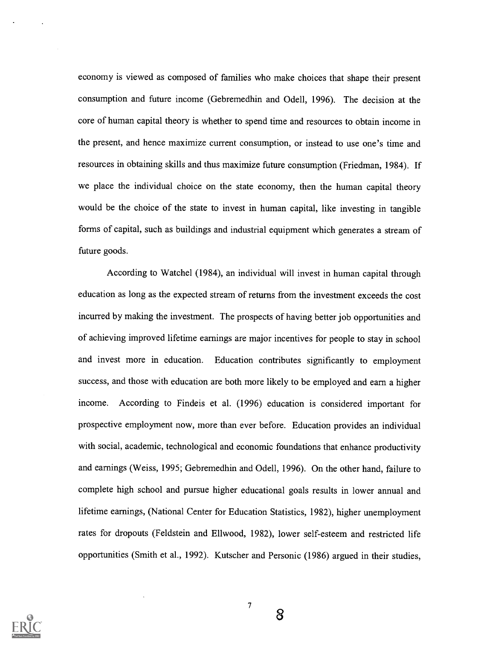economy is viewed as composed of families who make choices that shape their present consumption and future income (Gebremedhin and Odell, 1996). The decision at the core of human capital theory is whether to spend time and resources to obtain income in the present, and hence maximize current consumption, or instead to use one's time and resources in obtaining skills and thus maximize future consumption (Friedman, 1984). If we place the individual choice on the state economy, then the human capital theory would be the choice of the state to invest in human capital, like investing in tangible forms of capital, such as buildings and industrial equipment which generates a stream of future goods.

According to Watchel (1984), an individual will invest in human capital through education as long as the expected stream of returns from the investment exceeds the cost incurred by making the investment. The prospects of having better job opportunities and of achieving improved lifetime earnings are major incentives for people to stay in school and invest more in education. Education contributes significantly to employment success, and those with education are both more likely to be employed and earn a higher income. According to Findeis et al. (1996) education is considered important for prospective employment now, more than ever before. Education provides an individual with social, academic, technological and economic foundations that enhance productivity and earnings (Weiss, 1995; Gebremedhin and Odell, 1996). On the other hand, failure to complete high school and pursue higher educational goals results in lower annual and lifetime earnings, (National Center for Education Statistics, 1982), higher unemployment rates for dropouts (Feldstein and Ellwood, 1982), lower self-esteem and restricted life opportunities (Smith et al., 1992). Kutscher and Personic (1986) argued in their studies,

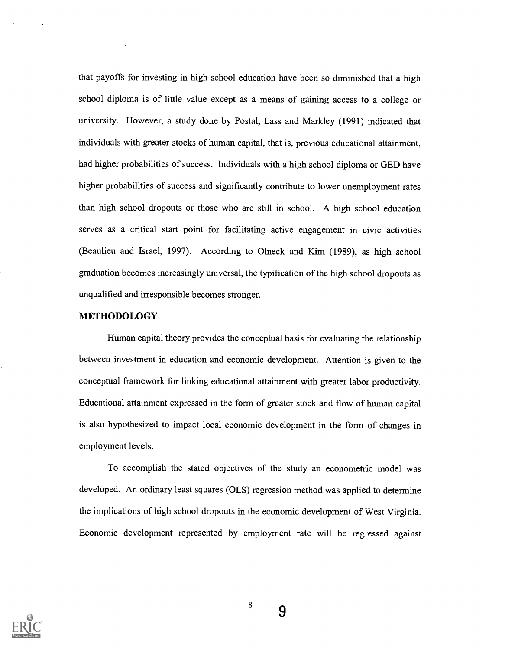that payoffs for investing in high school- education have been so diminished that a high school diploma is of little value except as a means of gaining access to a college or university. However, a study done by Postal, Lass and Markley (1991) indicated that individuals with greater stocks of human capital, that is, previous educational attainment, had higher probabilities of success. Individuals with a high school diploma or GED have higher probabilities of success and significantly contribute to lower unemployment rates than high school dropouts or those who are still in school. A high school education serves as a critical start point for facilitating active engagement in civic activities (Beaulieu and Israel, 1997). According to Olneck and Kim (1989), as high school graduation becomes increasingly universal, the typification of the high school dropouts as unqualified and irresponsible becomes stronger.

### METHODOLOGY

Human capital theory provides the conceptual basis for evaluating the relationship between investment in education and economic development. Attention is given to the conceptual framework for linking educational attainment with greater labor productivity. Educational attainment expressed in the form of greater stock and flow of human capital is also hypothesized to impact local economic development in the form of changes in employment levels.

To accomplish the stated objectives of the study an econometric model was developed. An ordinary least squares (OLS) regression method was applied to determine the implications of high school dropouts in the economic development of West Virginia. Economic development represented by employment rate will be regressed against



8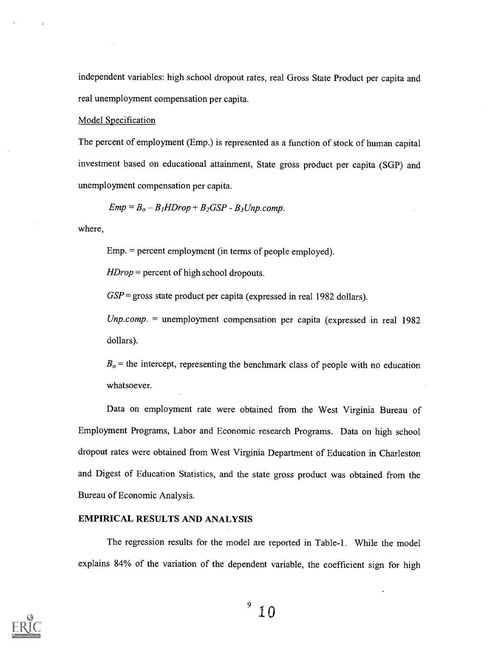independent variables: high school dropout rates, real Gross State Product per capita and real unemployment compensation per capita.

#### Model Specification

The percent of employment (Emp.) is represented as a function of stock of human capital investment based on educational attainment, State gross product per capita (SGP) and unemployment compensation per capita.

 $Emp = B<sub>o</sub> - B<sub>1</sub>HDrop + B<sub>2</sub>GSP - B<sub>3</sub>Unp.comp.$ 

where,

Emp. = percent employment (in terms of people employed).

HDrop = percent of high school dropouts.

 $GSP =$  gross state product per capita (expressed in real 1982 dollars).

 $Unp.comp.$  = unemployment compensation per capita (expressed in real 1982 dollars).

 $B<sub>o</sub>$  = the intercept, representing the benchmark class of people with no education whatsoever.

Data on employment rate were obtained from the West Virginia Bureau of Employment Programs, Labor and Economic research Programs. Data on high school dropout rates were obtained from West Virginia Department of Education in Charleston and Digest of Education Statistics, and the state gross product was obtained from the Bureau of Economic Analysis.

### EMPIRICAL RESULTS AND ANALYSIS

The regression results for the model are reported in Table-1. While the model explains 84% of the variation of the dependent variable, the coefficient sign for high



 $^{\circ}$  10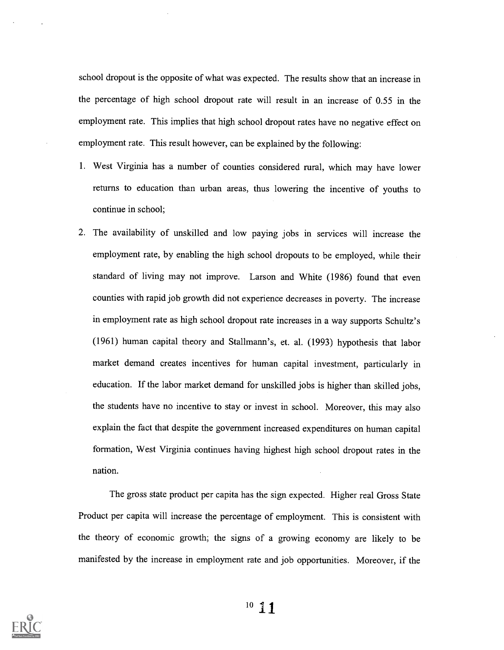school dropout is the opposite of what was expected. The results show that an increase in the percentage of high school dropout rate will result in an increase of 0.55 in the employment rate. This implies that high school dropout rates have no negative effect on employment rate. This result however, can be explained by the following:

- 1. West Virginia has a number of counties considered rural, which may have lower returns to education than urban areas, thus lowering the incentive of youths to continue in school;
- 2. The availability of unskilled and low paying jobs in services will increase the employment rate, by enabling the high school dropouts to be employed, while their standard of living may not improve. Larson and White (1986) found that even counties with rapid job growth did not experience decreases in poverty. The increase in employment rate as high school dropout rate increases in a way supports Schultz's (1961) human capital theory and Stallmann's, et. al. (1993) hypothesis that labor market demand creates incentives for human capital investment, particularly in education. If the labor market demand for unskilled jobs is higher than skilled jobs, the students have no incentive to stay or invest in school. Moreover, this may also explain the fact that despite the government increased expenditures on human capital formation, West Virginia continues having highest high school dropout rates in the nation.

The gross state product per capita has the sign expected. Higher real Gross State Product per capita will increase the percentage of employment. This is consistent with the theory of economic growth; the signs of a growing economy are likely to be manifested by the increase in employment rate and job opportunities. Moreover, if the



 $10 \t11$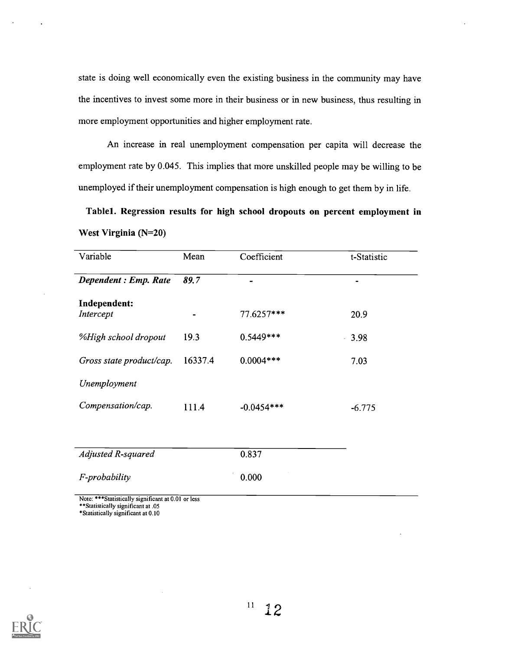state is doing well economically even the existing business in the community may have the incentives to invest some more in their business or in new business, thus resulting in more employment opportunities and higher employment rate.

An increase in real unemployment compensation per capita will decrease the employment rate by 0.045. This implies that more unskilled people may be willing to be unemployed if their unemployment compensation is high enough to get them by in life.

Tablel. Regression results for high school dropouts on percent employment in West Virginia (N=20)

| Variable                  | Mean           | Coefficient  | t-Statistic |
|---------------------------|----------------|--------------|-------------|
| Dependent : Emp. Rate     | 89.7           |              |             |
| Independent:<br>Intercept | $\blacksquare$ | 77.6257***   | 20.9        |
| %High school dropout      | 19.3           | $0.5449***$  | 3.98        |
| Gross state product/cap.  | 16337.4        | $0.0004***$  | 7.03        |
| Unemployment              |                |              |             |
| Compensation/cap.         | 111.4          | $-0.0454***$ | $-6.775$    |

| Adjusted R-squared | 0.837 |
|--------------------|-------|
| F-probability      | 0.000 |

Note: \*\*\*Statistically significant at 0.01 or less

\*\*Statistically significant at .05

\*Statistically significant at 0.10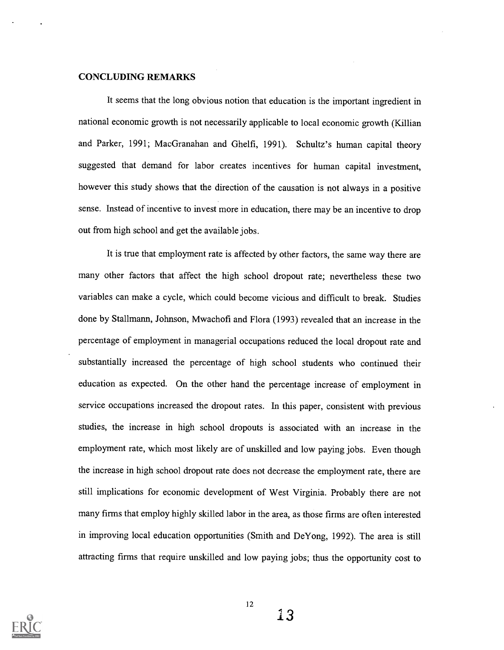#### CONCLUDING REMARKS

It seems that the long obvious notion that education is the important ingredient in national economic growth is not necessarily applicable to local economic growth (Killian and Parker, 1991; MacGranahan and Ghelfi, 1991). Schultz's human capital theory suggested that demand for labor creates incentives for human capital investment, however this study shows that the direction of the causation is not always in a positive sense. Instead of incentive to invest more in education, there may be an incentive to drop out from high school and get the available jobs.

It is true that employment rate is affected by other factors, the same way there are many other factors that affect the high school dropout rate; nevertheless these two variables can make a cycle, which could become vicious and difficult to break. Studies done by Stallmann, Johnson, Mwachofi and Flora (1993) revealed that an increase in the percentage of employment in managerial occupations reduced the local dropout rate and substantially increased the percentage of high school students who continued their education as expected. On the other hand the percentage increase of employment in service occupations increased the dropout rates. In this paper, consistent with previous studies, the increase in high school dropouts is associated with an increase in the employment rate, which most likely are of unskilled and low paying jobs. Even though the increase in high school dropout rate does not decrease the employment rate, there are still implications for economic development of West Virginia. Probably there are not many firms that employ highly skilled labor in the area, as those firms are often interested in improving local education opportunities (Smith and De Yong, 1992). The area is still attracting firms that require unskilled and low paying jobs; thus the opportunity cost to

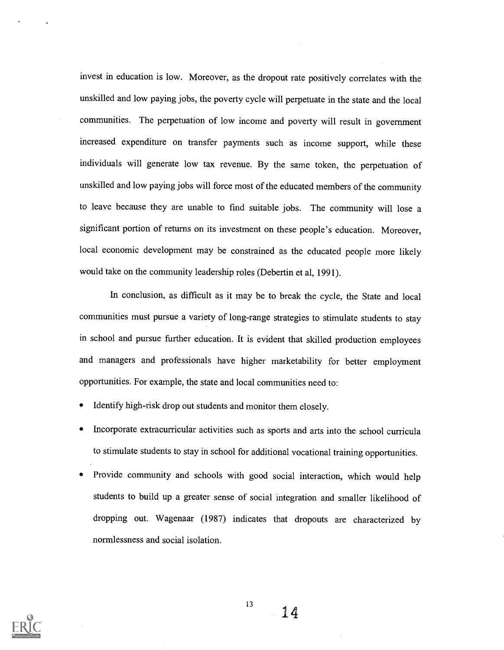invest in education is low. Moreover, as the dropout rate positively correlates with the unskilled and low paying jobs, the poverty cycle will perpetuate in the state and the local communities. The perpetuation of low income and poverty will result in government increased expenditure on transfer payments such as income support, while these individuals will generate low tax revenue. By the same token, the perpetuation of unskilled and low paying jobs will force most of the educated members of the community to leave because they are unable to find suitable jobs. The community will lose a significant portion of returns on its investment on these people's education. Moreover, local economic development may be constrained as the educated people more likely would take on the community leadership roles (Debertin et al, 1991).

In conclusion, as difficult as it may be to break the cycle, the State and local communities must pursue a variety of long-range strategies to stimulate students to stay in school and pursue further education. It is evident that skilled production employees and managers and professionals have higher marketability for better employment opportunities. For example, the state and local communities need to:

- Identify high-risk drop out students and monitor them closely.
- Incorporate extracurricular activities such as sports and arts into the school curricula to stimulate students to stay in school for additional vocational training opportunities.
- Provide community and schools with good social interaction, which would help  $\bullet$ students to build up a greater sense of social integration and smaller likelihood of dropping out. Wagenaar (1987) indicates that dropouts are characterized by normlessness and social isolation.



13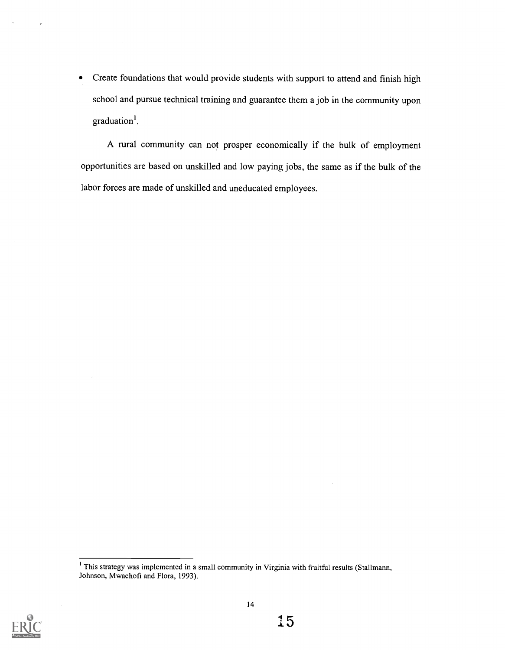Create foundations that would provide students with support to attend and finish high school and pursue technical training and guarantee them a job in the community upon graduation'.

A rural community can not prosper economically if the bulk of employment opportunities are based on unskilled and low paying jobs, the same as if the bulk of the labor forces are made of unskilled and uneducated employees.



<sup>&</sup>lt;sup>1</sup> This strategy was implemented in a small community in Virginia with fruitful results (Stallmann, Johnson, Mwachofi and Flora, 1993).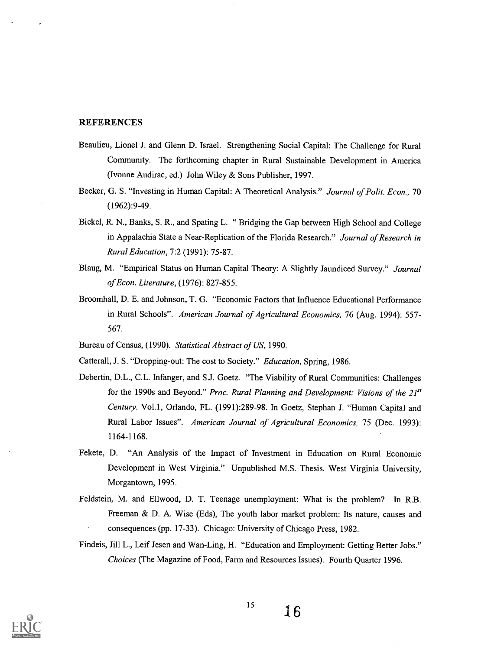#### **REFERENCES**

- Beaulieu, Lionel J. and Glenn D. Israel. Strengthening Social Capital: The Challenge for Rural Community. The forthcoming chapter in Rural Sustainable Development in America (Ivonne Audirac, ed.) John Wiley & Sons Publisher, 1997.
- Becker, G. S. "Investing in Human Capital: A Theoretical Analysis." Journal of Polit. Econ., 70 (1962):9-49.
- Bickel, R. N., Banks, S. R., and Spating L. " Bridging the Gap between High School and College in Appalachia State a Near-Replication of the Florida Research." Journal of Research in Rural Education, 7:2 (1991): 75-87.
- Blaug, M. "Empirical Status on Human Capital Theory: A Slightly Jaundiced Survey." Journal of Econ. Literature, (1976): 827-855.
- Broomhall, D. E. and Johnson, T. G. "Economic Factors that Influence Educational Performance in Rural Schools". American Journal of Agricultural Economics, 76 (Aug. 1994): 557- 567.
- Bureau of Census, (1990). Statistical Abstract of US, 1990.
- Catterall, J. S. "Dropping-out: The cost to Society." Education, Spring, 1986.
- Debertin, D.L., C.L. Infanger, and S.J. Goetz. "The Viability of Rural Communities: Challenges for the 1990s and Beyond." Proc. Rural Planning and Development: Visions of the  $21<sup>st</sup>$ Century. Vol.1, Orlando, FL. (1991):289-98. In Goetz, Stephan J. "Human Capital and Rural Labor Issues". American Journal of Agricultural Economics, 75 (Dec. 1993): 1164-1168.
- Fekete, D. "An Analysis of the Impact of Investment in Education on Rural Economic Development in West Virginia." Unpublished M.S. Thesis. West Virginia University, Morgantown, 1995.
- Feldstein, M. and Ellwood, D. T. Teenage unemployment: What is the problem? In R.B. Freeman & D. A. Wise (Eds), The youth labor market problem: Its nature, causes and consequences (pp. 17-33). Chicago: University of Chicago Press, 1982.
- Findeis, Jill L., Leif Jesen and Wan-Ling, H. "Education and Employment: Getting Better Jobs." Choices (The Magazine of Food, Farm and Resources Issues). Fourth Quarter 1996.

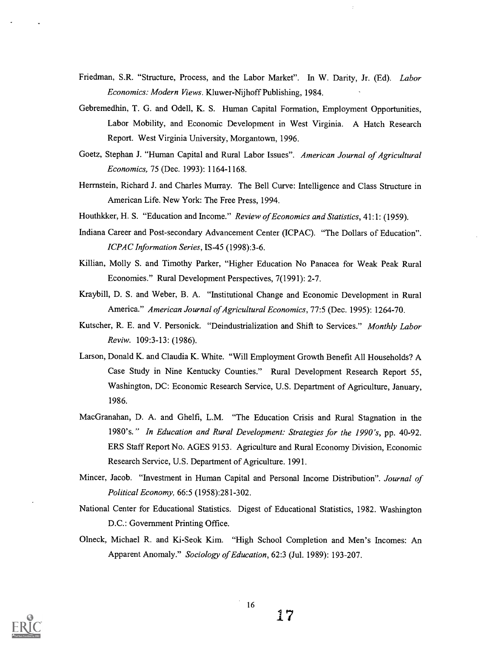- Friedman, S.R. "Structure, Process, and the Labor Market". In W. Darity, Jr. (Ed). Labor Economics: Modern Views. Kluwer-Nijhoff Publishing, 1984.
- Gebremedhin, T. G. and Odell, K. S. Human Capital Formation, Employment Opportunities, Labor Mobility, and Economic Development in West Virginia. A Hatch Research Report. West Virginia University, Morgantown, 1996.
- Goetz, Stephan J. "Human Capital and Rural Labor Issues". American Journal of Agricultural Economics, 75 (Dec. 1993): 1164-1168.
- Herrnstein, Richard J. and Charles Murray. The Bell Curve: Intelligence and Class Structure in American Life. New York: The Free Press, 1994.
- Houthkker, H. S. "Education and Income." Review of Economics and Statistics, 41:1: (1959).
- Indiana Career and Post-secondary Advancement Center (ICPAC). "The Dollars of Education". ICPAC Information Series, IS-45 (1998):3-6.
- Killian, Molly S. and Timothy Parker, "Higher Education No Panacea for Weak Peak Rural Economies." Rural Development Perspectives, 7(1991): 2-7.
- Kraybill, D. S. and Weber, B. A. "Institutional Change and Economic Development in Rural America." American Journal of Agricultural Economics, 77:5 (Dec. 1995): 1264-70.
- Kutscher, R. E. and V. Personick. "Deindustrialization and Shift to Services." Monthly Labor Reviw. 109:3-13: (1986).
- Larson, Donald K. and Claudia K. White. "Will Employment Growth Benefit All Households? A Case Study in Nine Kentucky Counties." Rural Development Research Report 55, Washington, DC: Economic Research Service, U.S. Department of Agriculture, January, 1986.
- MacGranahan, D. A. and Ghelfi, L.M. "The Education Crisis and Rural Stagnation in the 1980's." In Education and Rural Development: Strategies for the 1990's, pp. 40-92. ERS Staff Report No. AGES 9153. Agriculture and Rural Economy Division, Economic Research Service, U.S. Department of Agriculture. 1991.
- Mincer, Jacob. "Investment in Human Capital and Personal Income Distribution". Journal of Political Economy, 66:5 (1958):281-302.
- National Center for Educational Statistics. Digest of Educational Statistics, 1982. Washington D.C.: Government Printing Office.
- Olneck, Michael R. and Ki-Seok Kim. "High School Completion and Men's Incomes: An Apparent Anomaly." Sociology of Education, 62:3 (Jul. 1989): 193-207.

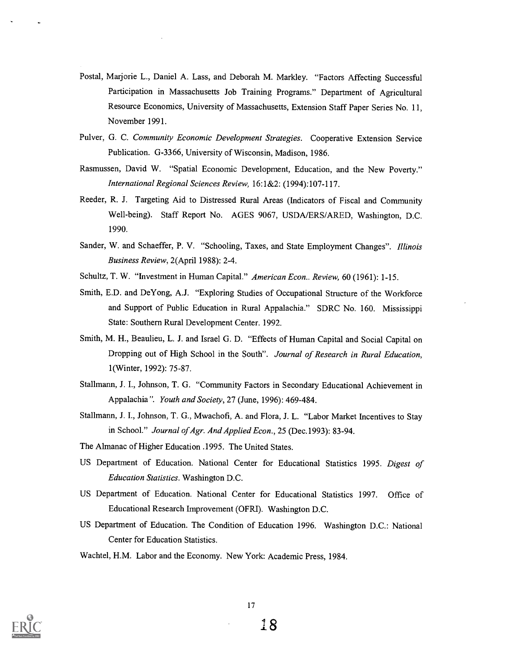- Postal, Marjorie L., Daniel A. Lass, and Deborah M. Markley. "Factors Affecting Successful Participation in Massachusetts Job Training Programs." Department of Agricultural Resource Economics, University of Massachusetts, Extension Staff Paper Series No. 11, November 1991.
- Pulver, G. C. Community Economic Development Strategies. Cooperative Extension Service Publication. G-3366, University of Wisconsin, Madison, 1986.
- Rasmussen, David W. "Spatial Economic Development, Education, and the New Poverty." International Regional Sciences Review, 16: 1&2: (1994):107-117.
- Reeder, R. J. Targeting Aid to Distressed Rural Areas (Indicators of Fiscal and Community Well-being). Staff Report No. AGES 9067, USDA/ERS/ARED, Washington, D.C. 1990.
- Sander, W. and Schaeffer, P. V. "Schooling, Taxes, and State Employment Changes". Illinois Business Review, 2(April 1988): 2-4.
- Schultz, T. W. "Investment in Human Capital." American Econ.. Review, 60 (1961): 1-15.
- Smith, E.D. and DeYong, A.J. "Exploring Studies of Occupational Structure of the Workforce and Support of Public Education in Rural Appalachia." SDRC No. 160. Mississippi State: Southern Rural Development Center. 1992.
- Smith, M. H., Beaulieu, L. J. and Israel G. D. "Effects of Human Capital and Social Capital on Dropping out of High School in the South". Journal of Research in Rural Education, 1(Winter, 1992): 75-87.
- Stallmann, J. I., Johnson, T. G. "Community Factors in Secondary Educational Achievement in Appalachia". Youth and Society, 27 (June, 1996): 469-484.
- Stallmann, J. I., Johnson, T. G., Mwachofi, A. and Flora, J. L. "Labor Market Incentives to Stay in School." Journal of Agr. And Applied Econ., 25 (Dec.1993): 83-94.
- The Almanac of Higher Education .1995. The United States.
- US Department of Education. National Center for Educational Statistics 1995. Digest of Education Statistics. Washington D.C.
- US Department of Education. National Center for Educational Statistics 1997. Office of Educational Research Improvement (OFRI). Washington D.C.
- US Department of Education. The Condition of Education 1996. Washington D.C.: National Center for Education Statistics.
- Wachtel, H.M. Labor and the Economy. New York: Academic Press, 1984.

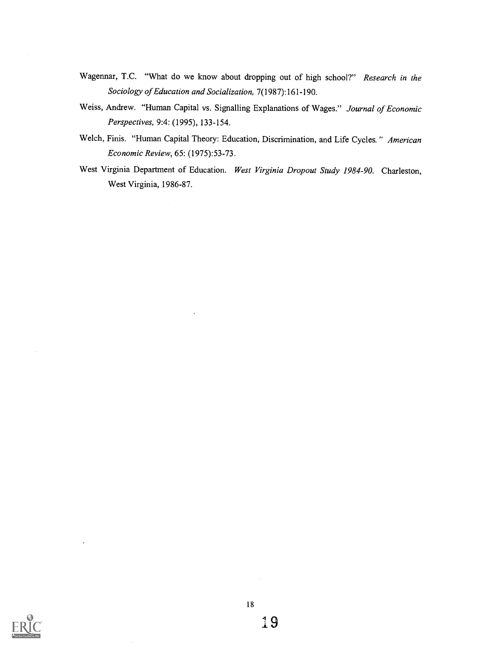- Wagennar, T.C. "What do we know about dropping out of high school?" Research in the Sociology of Education and Socialization, 7(1987): 161-190.
- Weiss, Andrew. "Human Capital vs. Signalling Explanations of Wages." Journal of Economic Perspectives, 9:4: (1995), 133-154.
- Welch, Finis. "Human Capital Theory: Education, Discrimination, and Life Cycles." American Economic Review, 65: (1975):53-73.
- West Virginia Department of Education. West Virginia Dropout Study 1984-90. Charleston, West Virginia, 1986-87.

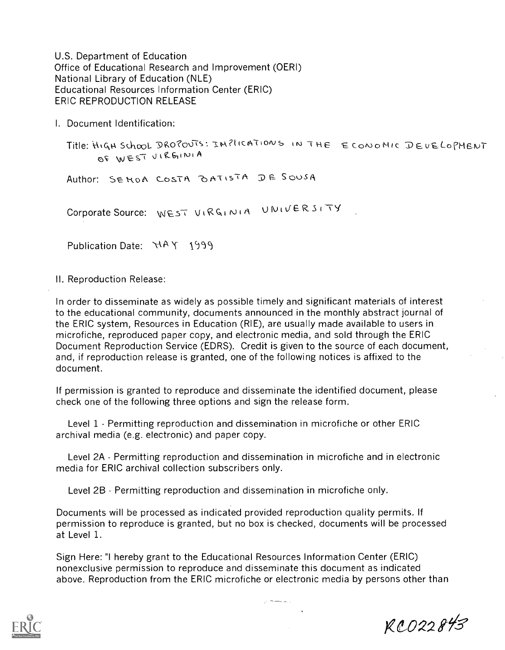U.S. Department of Education Office of Educational Research and Improvement (OERI) National Library of Education (NLE) Educational Resources Information Center (ERIC) ERIC REPRODUCTION RELEASE

I. Document Identification:

Title: HIGH School DROPOUTS: INPLICATIONS IN THE ECONOMIC DEVELOPMEN  $R$  WEST VIRGINIA

Author: SEMOA COSTA BATISTA DE SOUSA

Corporate Source: WEST VIRGINIA UNIVERSITY

Publication Date:  $\forall A \times 1999$ 

II. Reproduction Release:

In order to disseminate as widely as possible timely and significant materials of interest to the educational community, documents announced in the monthly abstract journal of the ERIC system, Resources in Education (RIE), are usually made available to users in microfiche, reproduced paper copy, and electronic media, and sold through the ERIC Document Reproduction Service (EDRS). Credit is given to the source of each document, and, if reproduction release is granted, one of the following notices is affixed to the document.

If permission is granted to reproduce and disseminate the identified document, please check one of the following three options and sign the release form.

Level 1 - Permitting reproduction and dissemination in microfiche or other ERIC archival media (e.g. electronic) and paper copy.

Level 2A - Permitting reproduction and dissemination in microfiche and in electronic media for ERIC archival collection subscribers only.

Level 2B - Permitting reproduction and dissemination in microfiche only.

Documents will be processed as indicated provided reproduction quality permits. If permission to reproduce is granted, but no box is checked, documents will be processed at Level 1.

Sign Here: "I hereby grant to the Educational Resources Information Center (ERIC) nonexclusive permission to reproduce and disseminate this document as indicated above. Reproduction from the ERIC microfiche or electronic media by persons other than



RC022843